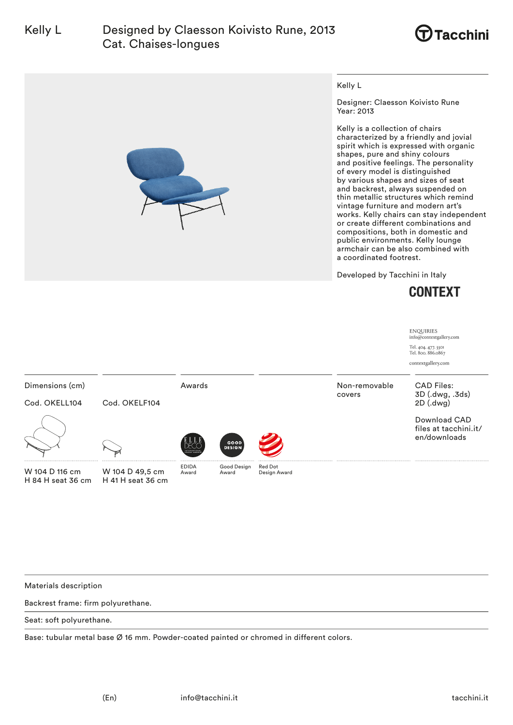



Kelly L

Designer: Claesson Koivisto Rune Year: 2013

Kelly is a collection of chairs characterized by a friendly and jovial spirit which is expressed with organic shapes, pure and shiny colours and positive feelings. The personality of every model is distinguished by various shapes and sizes of seat and backrest, always suspended on thin metallic structures which remind vintage furniture and modern art's works. Kelly chairs can stay independent or create different combinations and compositions, both in domestic and public environments. Kelly lounge armchair can be also combined with a coordinated footrest.

Developed by Tacchini in Italy



|                                     |                                          |                                          |                       |                         |                         | <b>ENQUIRIES</b><br>info@contextgallery.com<br>Tel. 404. 477. 3301<br>Tel. 800. 886.0867<br>contextgallery.com |
|-------------------------------------|------------------------------------------|------------------------------------------|-----------------------|-------------------------|-------------------------|----------------------------------------------------------------------------------------------------------------|
| Dimensions (cm)<br>Cod. OKELL104    | Cod. OKELF104                            | Awards                                   |                       |                         | Non-removable<br>covers | <b>CAD Files:</b><br>3D (.dwg, .3ds)<br>$2D$ (.dwg)                                                            |
|                                     |                                          | <b>NTERNATIONA</b><br><b>ESIGN AWARD</b> | GOOD<br><b>DESIGN</b> |                         |                         | Download CAD<br>files at tacchini.it/<br>en/downloads                                                          |
| W 104 D 116 cm<br>H 84 H seat 36 cm | <br>W 104 D 49,5 cm<br>H 41 H seat 36 cm | <b>EDIDA</b><br>Award                    | Good Design<br>Award  | Red Dot<br>Design Award |                         |                                                                                                                |

Materials description

Backrest frame: firm polyurethane.

Seat: soft polyurethane.

Base: tubular metal base Ø 16 mm. Powder-coated painted or chromed in different colors.